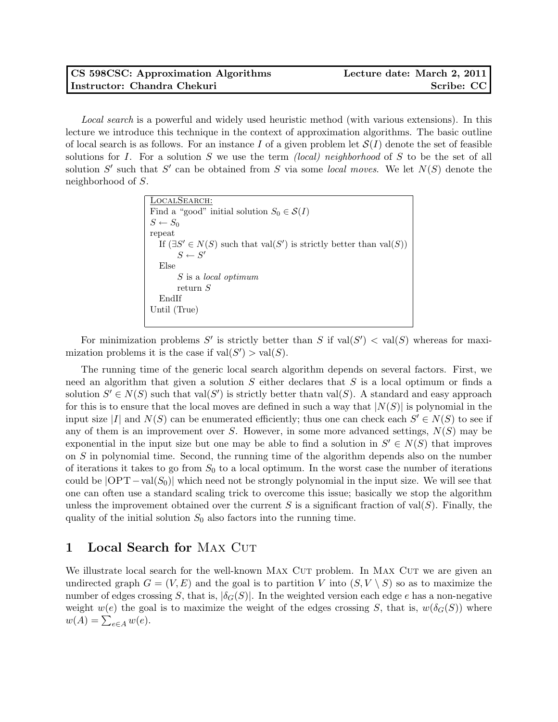## CS 598CSC: Approximation Algorithms Lecture date: March 2, 2011 Instructor: Chandra Chekuri Scribe: CC

Local search is a powerful and widely used heuristic method (with various extensions). In this lecture we introduce this technique in the context of approximation algorithms. The basic outline of local search is as follows. For an instance I of a given problem let  $\mathcal{S}(I)$  denote the set of feasible solutions for I. For a solution S we use the term *(local) neighborhood* of S to be the set of all solution S' such that S' can be obtained from S via some local moves. We let  $N(S)$  denote the neighborhood of S.

```
LocalSearch:
Find a "good" initial solution S_0 \in \mathcal{S}(I)S \leftarrow S_0repeat
   If (\exists S' \in N(S) such that val(S') is strictly better than val(S))
        S \leftarrow S'Else
        S is a local optimum
        return S
  EndIf
Until (True)
```
For minimization problems S' is strictly better than S if  $val(S') < val(S)$  whereas for maximization problems it is the case if  $val(S') > val(S)$ .

The running time of the generic local search algorithm depends on several factors. First, we need an algorithm that given a solution  $S$  either declares that  $S$  is a local optimum or finds a solution  $S' \in N(S)$  such that val $(S')$  is strictly better thatn val $(S)$ . A standard and easy approach for this is to ensure that the local moves are defined in such a way that  $|N(S)|$  is polynomial in the input size |I| and  $N(S)$  can be enumerated efficiently; thus one can check each  $S' \in N(S)$  to see if any of them is an improvement over  $S$ . However, in some more advanced settings,  $N(S)$  may be exponential in the input size but one may be able to find a solution in  $S' \in N(S)$  that improves on S in polynomial time. Second, the running time of the algorithm depends also on the number of iterations it takes to go from  $S_0$  to a local optimum. In the worst case the number of iterations could be  $|OPT - val(S_0)|$  which need not be strongly polynomial in the input size. We will see that one can often use a standard scaling trick to overcome this issue; basically we stop the algorithm unless the improvement obtained over the current S is a significant fraction of val $(S)$ . Finally, the quality of the initial solution  $S_0$  also factors into the running time.

## 1 Local Search for MAX CUT

We illustrate local search for the well-known MAX CUT problem. In MAX CUT we are given an undirected graph  $G = (V, E)$  and the goal is to partition V into  $(S, V \setminus S)$  so as to maximize the number of edges crossing S, that is,  $|\delta_G(S)|$ . In the weighted version each edge e has a non-negative weight  $w(e)$  the goal is to maximize the weight of the edges crossing S, that is,  $w(\delta_G(S))$  where  $w(A) = \sum_{e \in A} w(e).$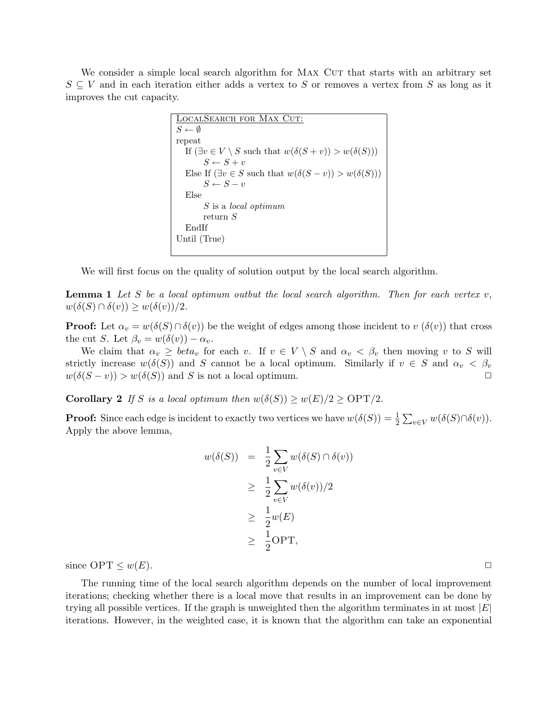We consider a simple local search algorithm for MAX CUT that starts with an arbitrary set  $S \subseteq V$  and in each iteration either adds a vertex to S or removes a vertex from S as long as it improves the cut capacity.

```
LocalSearch for Max Cut:
S \leftarrow \emptysetrepeat
  If (\exists v \in V \setminus S such that w(\delta(S + v)) > w(\delta(S)))S \leftarrow S + vElse If (\exists v \in S such that w(\delta(S - v)) > w(\delta(S)))S \leftarrow S - vElse
        S is a local optimum
        return S
  EndIf
Until (True)
```
We will first focus on the quality of solution output by the local search algorithm.

**Lemma 1** Let S be a local optimum outbut the local search algorithm. Then for each vertex  $v$ ,  $w(\delta(S) \cap \delta(v)) \geq w(\delta(v))/2.$ 

**Proof:** Let  $\alpha_v = w(\delta(S) \cap \delta(v))$  be the weight of edges among those incident to v  $(\delta(v))$  that cross the cut S. Let  $\beta_v = w(\delta(v)) - \alpha_v$ .

We claim that  $\alpha_v \geq \text{beta}_v$  for each v. If  $v \in V \setminus S$  and  $\alpha_v \leq \beta_v$  then moving v to S will strictly increase  $w(\delta(S))$  and S cannot be a local optimum. Similarly if  $v \in S$  and  $\alpha_v < \beta_v$  $w(\delta(S - v)) > w(\delta(S))$  and S is not a local optimum.

**Corollary 2** If S is a local optimum then  $w(\delta(S)) \geq w(E)/2 \geq \text{OPT}/2$ .

**Proof:** Since each edge is incident to exactly two vertices we have  $w(\delta(S)) = \frac{1}{2} \sum_{v \in V} w(\delta(S) \cap \delta(v))$ . Apply the above lemma,

$$
w(\delta(S)) = \frac{1}{2} \sum_{v \in V} w(\delta(S) \cap \delta(v))
$$
  
\n
$$
\geq \frac{1}{2} \sum_{v \in V} w(\delta(v))/2
$$
  
\n
$$
\geq \frac{1}{2} w(E)
$$
  
\n
$$
\geq \frac{1}{2} \text{OPT},
$$

since  $\text{OPT} \leq w(E)$ .

The running time of the local search algorithm depends on the number of local improvement iterations; checking whether there is a local move that results in an improvement can be done by trying all possible vertices. If the graph is unweighted then the algorithm terminates in at most  $|E|$ iterations. However, in the weighted case, it is known that the algorithm can take an exponential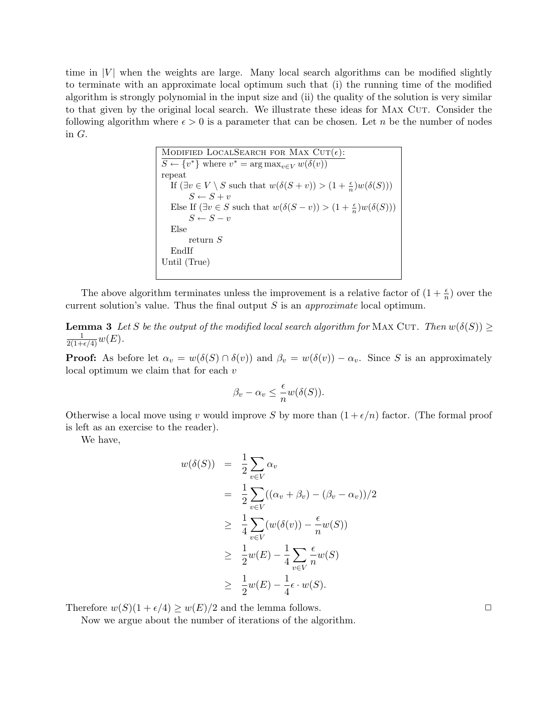time in  $|V|$  when the weights are large. Many local search algorithms can be modified slightly to terminate with an approximate local optimum such that (i) the running time of the modified algorithm is strongly polynomial in the input size and (ii) the quality of the solution is very similar to that given by the original local search. We illustrate these ideas for MAX CUT. Consider the following algorithm where  $\epsilon > 0$  is a parameter that can be chosen. Let n be the number of nodes in  $G$ .

**MODIFIED LOGLSEARCH FOR MAX CUT(**
$$
\epsilon
$$
):

\n
$$
S \leftarrow \{v^*\}
$$
\nwhere  $v^* = \arg \max_{v \in V} w(\delta(v))$ 

\nrepeat

\nIf  $(\exists v \in V \setminus S \text{ such that } w(\delta(S + v)) > (1 + \frac{\epsilon}{n})w(\delta(S)))$ 

\n
$$
S \leftarrow S + v
$$
\nElse If  $(\exists v \in S \text{ such that } w(\delta(S - v)) > (1 + \frac{\epsilon}{n})w(\delta(S)))$ 

\n
$$
S \leftarrow S - v
$$
\nElse

\nreturn  $S$ 

\nEndIf

\nUntil (True)

The above algorithm terminates unless the improvement is a relative factor of  $(1 + \frac{\epsilon}{n})$  over the current solution's value. Thus the final output  $S$  is an *approximate* local optimum.

**Lemma 3** Let S be the output of the modified local search algorithm for MAX CUT. Then  $w(\delta(S)) \ge$  $\frac{1}{2(1+\epsilon/4)}w(E).$ 

**Proof:** As before let  $\alpha_v = w(\delta(S) \cap \delta(v))$  and  $\beta_v = w(\delta(v)) - \alpha_v$ . Since S is an approximately local optimum we claim that for each v

$$
\beta_v - \alpha_v \leq \frac{\epsilon}{n} w(\delta(S)).
$$

Otherwise a local move using v would improve S by more than  $(1 + \epsilon/n)$  factor. (The formal proof is left as an exercise to the reader).

We have,

$$
w(\delta(S)) = \frac{1}{2} \sum_{v \in V} \alpha_v
$$
  
= 
$$
\frac{1}{2} \sum_{v \in V} ((\alpha_v + \beta_v) - (\beta_v - \alpha_v))/2
$$
  

$$
\geq \frac{1}{4} \sum_{v \in V} (w(\delta(v)) - \frac{\epsilon}{n}w(S))
$$
  

$$
\geq \frac{1}{2}w(E) - \frac{1}{4} \sum_{v \in V} \frac{\epsilon}{n}w(S)
$$
  

$$
\geq \frac{1}{2}w(E) - \frac{1}{4}\epsilon \cdot w(S).
$$

Therefore  $w(S)(1 + \epsilon/4) \ge w(E)/2$  and the lemma follows.

Now we argue about the number of iterations of the algorithm.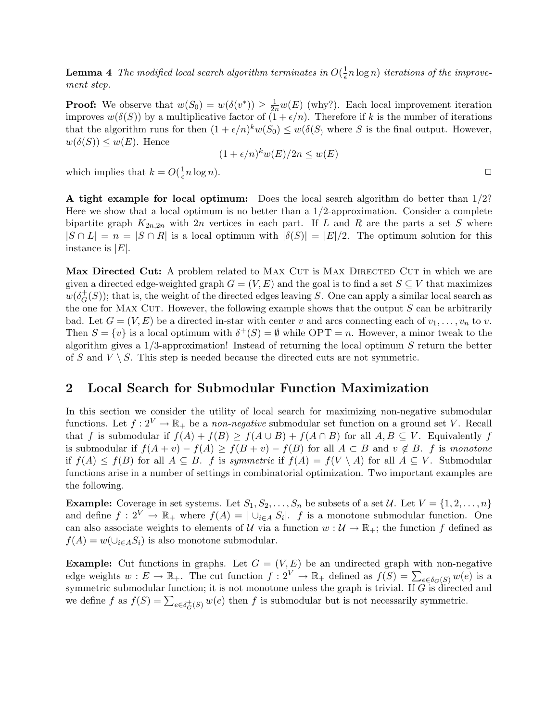**Lemma 4** The modified local search algorithm terminates in  $O(\frac{1}{\epsilon})$  $\frac{1}{\epsilon}n \log n)$  iterations of the improvement step.

**Proof:** We observe that  $w(S_0) = w(\delta(v^*)) \ge \frac{1}{2n}w(E)$  (why?). Each local improvement iteration improves  $w(\delta(S))$  by a multiplicative factor of  $(1 + \epsilon/n)$ . Therefore if k is the number of iterations that the algorithm runs for then  $(1 + \epsilon/n)^k w(S_0) \leq w(\delta(S)$  where S is the final output. However,  $w(\delta(S)) \leq w(E)$ . Hence

$$
(1 + \epsilon/n)^k w(E)/2n \le w(E)
$$

which implies that  $k = O(\frac{1}{\epsilon})$  $\frac{1}{\epsilon}n\log n$ ).

A tight example for local optimum: Does the local search algorithm do better than 1/2? Here we show that a local optimum is no better than a  $1/2$ -approximation. Consider a complete bipartite graph  $K_{2n,2n}$  with  $2n$  vertices in each part. If L and R are the parts a set S where  $|S \cap L| = n = |S \cap R|$  is a local optimum with  $|\delta(S)| = |E|/2$ . The optimum solution for this instance is  $|E|$ .

Max Directed Cut: A problem related to MAX CUT is MAX DIRECTED CUT in which we are given a directed edge-weighted graph  $G = (V, E)$  and the goal is to find a set  $S \subseteq V$  that maximizes  $w(\delta_G^+$  $_G^+(S)$ ; that is, the weight of the directed edges leaving S. One can apply a similar local search as the one for MAX CUT. However, the following example shows that the output  $S$  can be arbitrarily bad. Let  $G = (V, E)$  be a directed in-star with center v and arcs connecting each of  $v_1, \ldots, v_n$  to v. Then  $S = \{v\}$  is a local optimum with  $\delta^+(S) = \emptyset$  while OPT = n. However, a minor tweak to the algorithm gives a  $1/3$ -approximation! Instead of returning the local optimum S return the better of S and  $V \setminus S$ . This step is needed because the directed cuts are not symmetric.

## 2 Local Search for Submodular Function Maximization

In this section we consider the utility of local search for maximizing non-negative submodular functions. Let  $f: 2^V \to \mathbb{R}_+$  be a non-negative submodular set function on a ground set V. Recall that f is submodular if  $f(A) + f(B) \ge f(A \cup B) + f(A \cap B)$  for all  $A, B \subseteq V$ . Equivalently f is submodular if  $f(A + v) - f(A) \ge f(B + v) - f(B)$  for all  $A \subset B$  and  $v \notin B$ . f is monotone if  $f(A) \leq f(B)$  for all  $A \subseteq B$ . f is symmetric if  $f(A) = f(V \setminus A)$  for all  $A \subseteq V$ . Submodular functions arise in a number of settings in combinatorial optimization. Two important examples are the following.

**Example:** Coverage in set systems. Let  $S_1, S_2, \ldots, S_n$  be subsets of a set U. Let  $V = \{1, 2, \ldots, n\}$ and define  $f: 2^V \to \mathbb{R}_+$  where  $f(A) = |\cup_{i \in A} S_i|$ . f is a monotone submodular function. One can also associate weights to elements of U via a function  $w: U \to \mathbb{R}_+$ ; the function f defined as  $f(A) = w(\bigcup_{i \in A} S_i)$  is also monotone submodular.

**Example:** Cut functions in graphs. Let  $G = (V, E)$  be an undirected graph with non-negative edge weights  $w: E \to \mathbb{R}_+$ . The cut function  $f: 2^V \to \mathbb{R}_+$  defined as  $f(S) = \sum_{e \in \delta_G(S)} w(e)$  is a symmetric submodular function; it is not monotone unless the graph is trivial. If  $G$  is directed and we define  $f$  as  $f(S) = \sum_{e \in \delta_G^+(S)} w(e)$  then  $f$  is submodular but is not necessarily symmetric.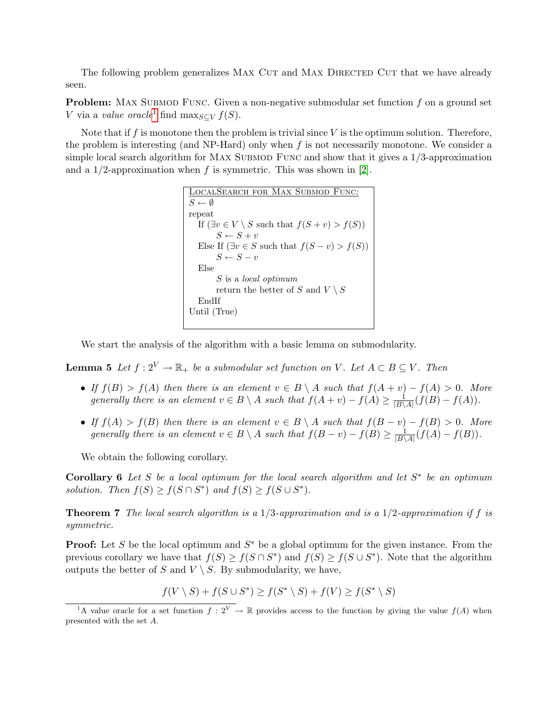The following problem generalizes MAX CUT and MAX DIRECTED CUT that we have already seen.

**Problem:** MAX SUBMOD FUNC. Given a non-negative submodular set function  $f$  on a ground set V via a value oracle<sup>[1](#page-4-0)</sup> find max<sub>S⊆V</sub>  $f(S)$ .

Note that if  $f$  is monotone then the problem is trivial since  $V$  is the optimum solution. Therefore, the problem is interesting (and NP-Hard) only when  $f$  is not necessarily monotone. We consider a simple local search algorithm for MAX SUBMOD FUNC and show that it gives a  $1/3$ -approximation and a 1/2-approximation when f is symmetric. This was shown in [\[2\]](#page-5-0).

| LOCALSEARCH FOR MAX SUBMOD FUNC:                               |
|----------------------------------------------------------------|
| $S \leftarrow \emptyset$                                       |
| repeat                                                         |
| If $(\exists v \in V \setminus S$ such that $f(S + v) > f(S))$ |
| $S \leftarrow S + v$                                           |
| Else If $(\exists v \in S$ such that $f(S - v) > f(S))$        |
| $S \leftarrow S - v$                                           |
| Else                                                           |
| S is a local optimum                                           |
| return the better of S and $V \setminus S$                     |
| EndIf                                                          |
| Until (True)                                                   |
|                                                                |

We start the analysis of the algorithm with a basic lemma on submodularity.

<span id="page-4-1"></span>**Lemma 5** Let  $f: 2^V \to \mathbb{R}_+$  be a submodular set function on V. Let  $A \subset B \subseteq V$ . Then

- If  $f(B) > f(A)$  then there is an element  $v \in B \setminus A$  such that  $f(A + v) f(A) > 0$ . More generally there is an element  $v \in B \setminus A$  such that  $f(A + v) - f(A) \geq \frac{1}{|B|}$  $\frac{1}{|B\setminus A|}(f(B)-f(A)).$
- If  $f(A) > f(B)$  then there is an element  $v \in B \setminus A$  such that  $f(B v) f(B) > 0$ . More generally there is an element  $v \in B \setminus A$  such that  $f(B - v) - f(B) \geq \frac{1}{|B|}$  $\frac{1}{|B\setminus A|}(f(A) - f(B)).$

We obtain the following corollary.

**Corollary 6** Let S be a local optimum for the local search algorithm and let  $S^*$  be an optimum solution. Then  $f(S) \geq f(S \cap S^*)$  and  $f(S) \geq f(S \cup S^*)$ .

**Theorem 7** The local search algorithm is a 1/3-approximation and is a 1/2-approximation if f is symmetric.

**Proof:** Let S be the local optimum and  $S^*$  be a global optimum for the given instance. From the previous corollary we have that  $f(S) \geq f(S \cap S^*)$  and  $f(S) \geq f(S \cup S^*)$ . Note that the algorithm outputs the better of S and  $V \setminus S$ . By submodularity, we have,

$$
f(V \setminus S) + f(S \cup S^*) \ge f(S^* \setminus S) + f(V) \ge f(S^* \setminus S)
$$

<span id="page-4-0"></span><sup>&</sup>lt;sup>1</sup>A value oracle for a set function  $f: 2^V \to \mathbb{R}$  provides access to the function by giving the value  $f(A)$  when presented with the set A.